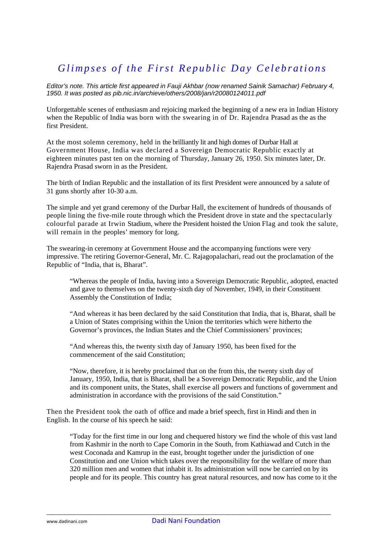## *Glimpses of the First Republic Day Celebrations*

*Editor's note. This article first appeared in Fauji Akhbar (now renamed Sainik Samachar) February 4, 1950. It was posted as pib.nic.in/archieve/others/2008/jan/r20080124011.pdf* 

Unforgettable scenes of enthusiasm and rejoicing marked the beginning of a new era in Indian History when the Republic of India was born with the swearing in of Dr. Rajendra Prasad as the as the first President.

At the most solemn ceremony, held in the brilliantly lit and high domes of Durbar Hall at Government House, India was declared a Sovereign Democratic Republic exactly at eighteen minutes past ten on the morning of Thursday, January 26, 1950. Six minutes later, Dr. Rajendra Prasad sworn in as the President.

The birth of Indian Republic and the installation of its first President were announced by a salute of 31 guns shortly after 10-30 a.m.

The simple and yet grand ceremony of the Durbar Hall, the excitement of hundreds of thousands of people lining the five-mile route through which the President drove in state and the spectacularly colourful parade at Irwin Stadium, where the President hoisted the Union Flag and took the salute, will remain in the peoples' memory for long.

The swearing-in ceremony at Government House and the accompanying functions were very impressive. The retiring Governor-General, Mr. C. Rajagopalachari, read out the proclamation of the Republic of "India, that is, Bharat".

"Whereas the people of India, having into a Sovereign Democratic Republic, adopted, enacted and gave to themselves on the twenty-sixth day of November, 1949, in their Constituent Assembly the Constitution of India;

"And whereas it has been declared by the said Constitution that India, that is, Bharat, shall be a Union of States comprising within the Union the territories which were hitherto the Governor's provinces, the Indian States and the Chief Commissioners' provinces;

"And whereas this, the twenty sixth day of January 1950, has been fixed for the commencement of the said Constitution;

"Now, therefore, it is hereby proclaimed that on the from this, the twenty sixth day of January, 1950, India, that is Bharat, shall be a Sovereign Democratic Republic, and the Union and its component units, the States, shall exercise all powers and functions of government and administration in accordance with the provisions of the said Constitution."

Then the President took the oath of office and made a brief speech, first in Hindi and then in English. In the course of his speech he said:

"Today for the first time in our long and chequered history we find the whole of this vast land from Kashmir in the north to Cape Comorin in the South, from Kathiawad and Cutch in the west Coconada and Kamrup in the east, brought together under the jurisdiction of one Constitution and one Union which takes over the responsibility for the welfare of more than 320 million men and women that inhabit it. Its administration will now be carried on by its people and for its people. This country has great natural resources, and now has come to it the